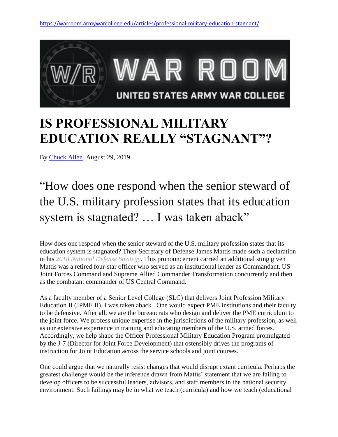

## **IS PROFESSIONAL MILITARY EDUCATION REALLY "STAGNANT"?**

By [Chuck Allen](https://warroom.armywarcollege.edu/author/chuck-allen/) August 29, 2019

"How does one respond when the senior steward of the U.S. military profession states that its education system is stagnated? … I was taken aback"

How does one respond when the senior steward of the U.S. military profession states that its education system is stagnated? Then-Secretary of Defense James Mattis made such a declaration in his *[2018 National Defense Strategy](https://dod.defense.gov/Portals/1/Documents/pubs/2018-National-Defense-Strategy-Summary.pdf)*. This pronouncement carried an additional sting given Mattis was a retired four-star officer who served as an institutional leader as Commandant, US Joint Forces Command and Supreme Allied Commander Transformation concurrently and then as the combatant commander of US Central Command.

As a faculty member of a Senior Level College (SLC) that delivers Joint Profession Military Education II (JPME II), I was taken aback. One would expect PME institutions and their faculty to be defensive. After all, we are the bureaucrats who design and deliver the PME curriculum to the joint force. We profess unique expertise in the jurisdictions of the military profession, as well as our extensive experience in training and educating members of the U.S. armed forces. Accordingly, we help shape the Officer Professional Military Education Program promulgated by the J-7 (Director for Joint Force Development) that ostensibly drives the programs of instruction for Joint Education across the service schools and joint courses.

One could argue that we naturally resist changes that would disrupt extant curricula. Perhaps the greatest challenge would be the inference drawn from Mattis' statement that we are failing to develop officers to be successful leaders, advisors, and staff members in the national security environment. Such failings may be in what we teach (curricula) and how we teach (educational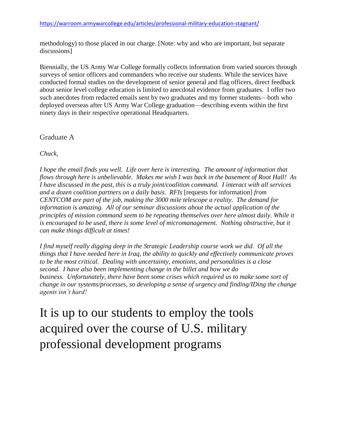<https://warroom.armywarcollege.edu/articles/professional-military-education-stagnant/>

methodology) to those placed in our charge. [Note: why and who are important, but separate discussions]

Biennially, the US Army War College formally collects information from varied sources through surveys of senior officers and commanders who receive our students. While the services have conducted formal studies on the development of senior general and flag officers, direct feedback about senior level college education is limited to anecdotal evidence from graduates. I offer two such anecdotes from redacted emails sent by two graduates and my former students—both who deployed overseas after US Army War College graduation—describing events within the first ninety days in their respective operational Headquarters.

Graduate A

*Chuck,*

*I hope the email finds you well. Life over here is interesting. The amount of information that flows through here is unbelievable. Makes me wish I was back in the basement of Root Hall! As I have discussed in the past, this is a truly joint/coalition command. I interact with all services and a dozen coalition partners on a daily basis. RFIs* [requests for information] *from CENTCOM are part of the job, making the 3000 mile telescope a reality. The demand for information is amazing. All of our seminar discussions about the actual application of the principles of mission command seem to be repeating themselves over here almost daily. While it is encouraged to be used, there is some level of micromanagement. Nothing obstructive, but it can make things difficult at times!*

*I find myself really digging deep in the Strategic Leadership course work we did. Of all the things that I have needed here in Iraq, the ability to quickly and effectively communicate proves to be the most critical. Dealing with uncertainty, emotions, and personalities is a close second. I have also been implementing change in the billet and how we do business. Unfortunately, there have been some crises which required us to make some sort of change in our systems/processes, so developing a sense of urgency and finding/IDing the change agents isn't hard!*

It is up to our students to employ the tools acquired over the course of U.S. military professional development programs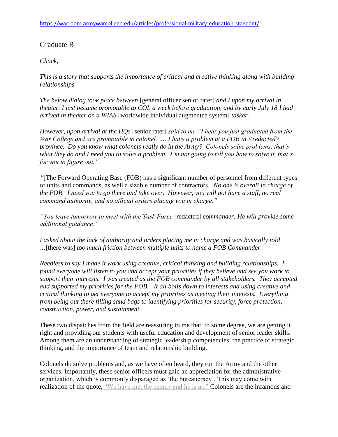## Graduate B

## *Chuck,*

*This is a story that supports the importance of critical and creative thinking along with building relationships.*

*The below dialog took place between* [general officer senior rater] *and I upon my arrival in theater. I just became promotable to COL a week before graduation, and by early July 18 I had arrived in theater on a WIAS* [worldwide individual augmentee system] *tasker.*

*However, upon arrival at the HQs* [senior rater] *said to me "I hear you just graduated from the War College and are promotable to colonel, …. I have a problem at a FOB in <redacted> province. Do you know what colonels really do in the Army? Colonels solve problems, that's what they do and I need you to solve a problem. I'm not going to tell you how to solve it, that's for you to figure out."*

*"*[The Forward Operating Base (FOB) has a significant number of personnel from different types of units and commands, as well a sizable number of contractors.] *No one is overall in charge of the FOB. I need you to go there and take over. However, you will not have a staff, no real command authority, and no official orders placing you in charge."*

*"You leave tomorrow to meet with the Task Force* [redacted] *commander. He will provide some additional guidance."*

*I asked about the lack of authority and orders placing me in charge and was basically told …*[there was] *too much friction between multiple units to name a FOB Commander.*

*Needless to say I made it work using creative, critical thinking and building relationships. I found everyone will listen to you and accept your priorities if they believe and see you work to support their interests. I was treated as the FOB commander by all stakeholders. They accepted and supported my priorities for the FOB. It all boils down to interests and using creative and critical thinking to get everyone to accept my priorities as meeting their interests. Everything from being out there filling sand bags to identifying priorities for security, force protection, construction, power, and sustainment.*

These two dispatches from the field are reassuring to me that, to some degree, we are getting it right and providing our students with useful education and development of senior leader skills. Among them are an understanding of strategic leadership competencies, the practice of strategic thinking, and the importance of team and relationship building.

Colonels do solve problems and, as we have often heard, they run the Army and the other services. Importantly, these senior officers must gain an appreciation for the administrative organization, which is commonly disparaged as 'the bureaucracy'. This may come with realization of the quote, ["We have met the enemy and he is us."](https://images.app.goo.gl/vWN2QMpLi9xCNjz58) Colonels are the infamous and